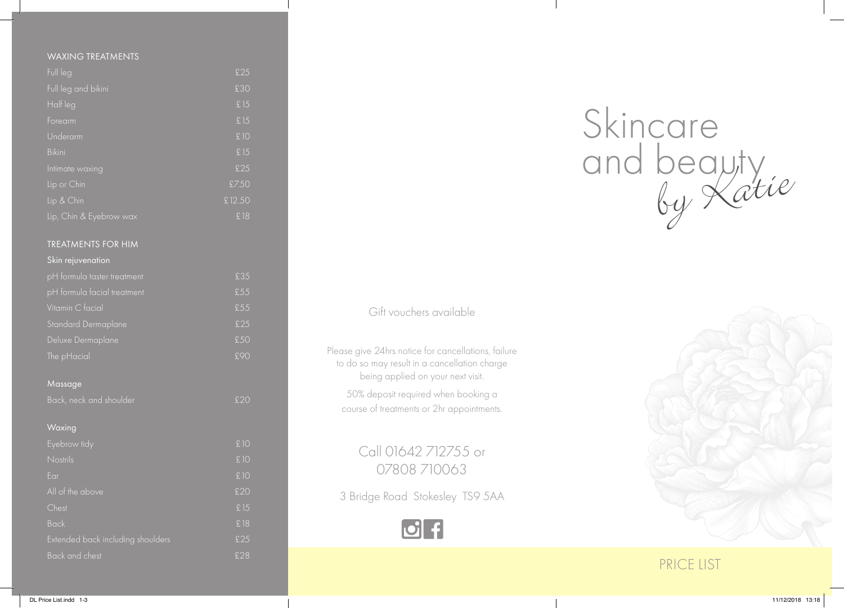#### WAXING TREATMENTS

| Full leg                | £25    |
|-------------------------|--------|
| Full leg and bikini     | £30    |
| Half leg                | £15    |
| Forearm                 | £15    |
| Underarm                | £10    |
| <b>Bikini</b>           | £15    |
| Intimate waxing         | £25    |
| Lip or Chin             | £7.50  |
| Lip & Chin              | £12.50 |
| Lip, Chin & Eyebrow wax | £18    |

#### TREATMENTS FOR HIM

| Skin rejuvenation                 |     |
|-----------------------------------|-----|
| pH formula taster treatment       | £35 |
| pH formula facial treatment       | £55 |
| Vitamin C facial                  | £55 |
| Standard Dermaplane               | £25 |
| Deluxe Dermaplane                 | £50 |
| The pHacial                       | £90 |
|                                   |     |
| Massage                           |     |
| Back, neck and shoulder           | £20 |
|                                   |     |
| Waxing                            |     |
| Eyebrow tidy                      | £10 |
| Nostrils                          | £10 |
| Ear                               | £10 |
| All of the above                  | £20 |
| Chest                             | £15 |
| <b>Back</b>                       | £18 |
| Extended back including shoulders | £25 |
| <b>Back and chest</b>             | £28 |
|                                   |     |

## Gift vouchers available

Please give 24hrs notice for cancellations, failure to do so may result in a cancellation charge being applied on your next visit.

50% deposit required when booking a course of treatments or 2hr appointments.

Call 01642 712755 or 07808 710063

3 Bridge Road Stokesley TS9 5AA



# Skincare and beauty<br>by Katie



### PRICE LIST

DL Price List.indd 1-3 11/12/2018 13:18